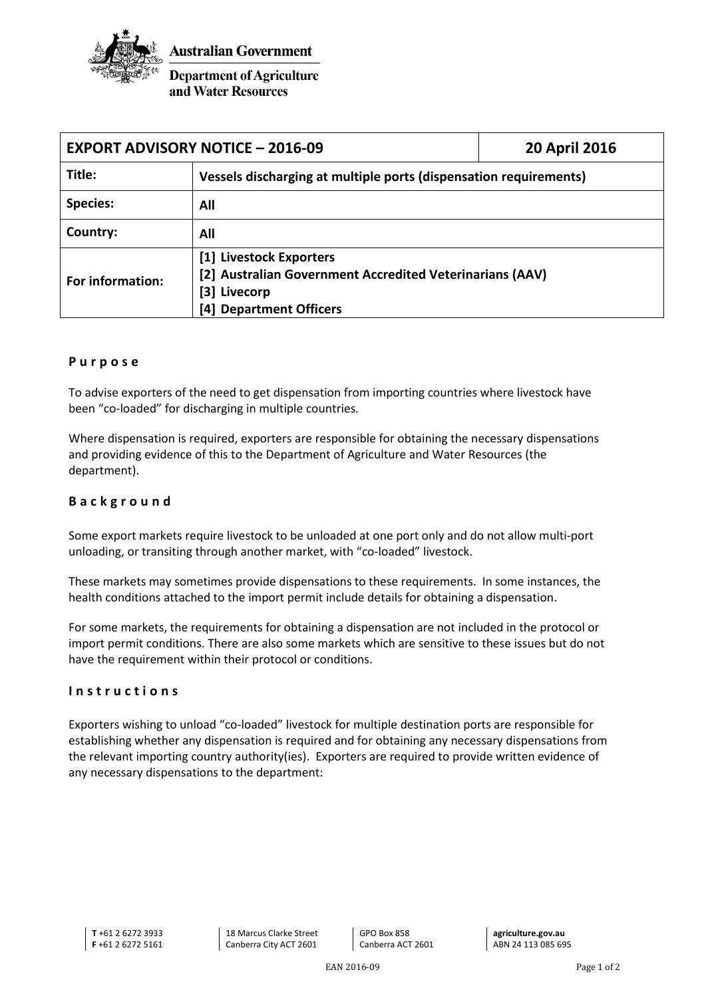

**Department of Agriculture** and Water Resources

| <b>EXPORT ADVISORY NOTICE - 2016-09</b> |                                                                   | <b>20 April 2016</b> |
|-----------------------------------------|-------------------------------------------------------------------|----------------------|
| Title:                                  | Vessels discharging at multiple ports (dispensation requirements) |                      |
| <b>Species:</b>                         | All                                                               |                      |
| Country:                                | All                                                               |                      |
| For information:                        | [1] Livestock Exporters                                           |                      |
|                                         | [2] Australian Government Accredited Veterinarians (AAV)          |                      |
|                                         | [3] Livecorp                                                      |                      |
|                                         | [4] Department Officers                                           |                      |

## **Purpose**

To advise exporters of the need to get dispensation from importing countries where livestock have been "co-loaded" for discharging in multiple countries.

Where dispensation is required, exporters are responsible for obtaining the necessary dispensations and providing evidence of this to the Department of Agriculture and Water Resources (the department).

## **Background**

Some export markets require livestock to be unloaded at one port only and do not allow multi-port unloading, or transiting through another market, with "co-loaded" livestock.

These markets may sometimes provide dispensations to these requirements. In some instances, the health conditions attached to the import permit include details for obtaining a dispensation.

For some markets, the requirements for obtaining a dispensation are not included in the protocol or import permit conditions. There are also some markets which are sensitive to these issues but do not have the requirement within their protocol or conditions.

## **Instructions**

Exporters wishing to unload "co-loaded" livestock for multiple destination ports are responsible for establishing whether any dispensation is required and for obtaining any necessary dispensations from the relevant importing country authority(ies). Exporters are required to provide written evidence of any necessary dispensations to the department: